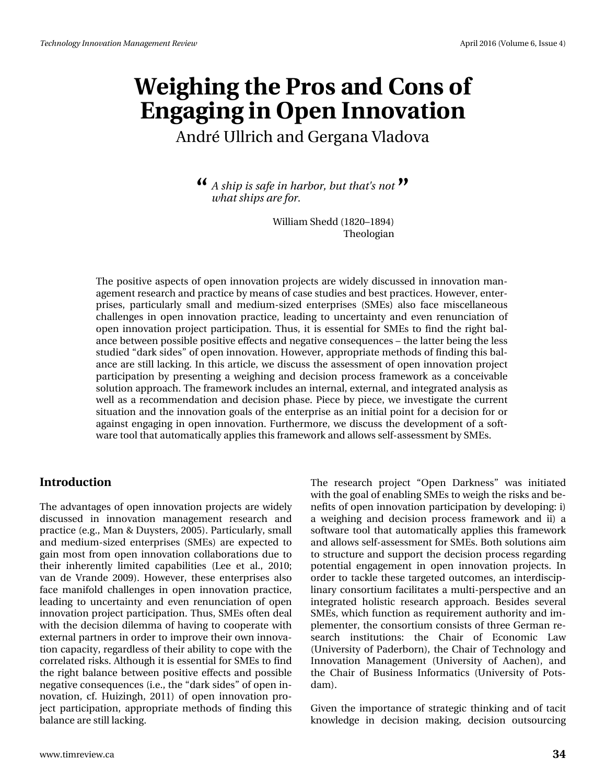André Ullrich and Gergana Vladova

 $\mathcal{A}$  *A ship is safe in harbor, but that's not*  $\mathcal{B}$ *what ships are for.*

> William Shedd (1820–1894) Theologian

The positive aspects of open innovation projects are widely discussed in innovation management research and practice by means of case studies and best practices. However, enterprises, particularly small and medium-sized enterprises (SMEs) also face miscellaneous challenges in open innovation practice, leading to uncertainty and even renunciation of open innovation project participation. Thus, it is essential for SMEs to find the right balance between possible positive effects and negative consequences – the latter being the less studied "dark sides" of open innovation. However, appropriate methods of finding this balance are still lacking. In this article, we discuss the assessment of open innovation project participation by presenting a weighing and decision process framework as a conceivable solution approach. The framework includes an internal, external, and integrated analysis as well as a recommendation and decision phase. Piece by piece, we investigate the current situation and the innovation goals of the enterprise as an initial point for a decision for or against engaging in open innovation. Furthermore, we discuss the development of a software tool that automatically applies this framework and allows self-assessment by SMEs.

#### **Introduction**

The advantages of open innovation projects are widely discussed in innovation management research and practice (e.g., Man & Duysters, 2005). Particularly, small and medium-sized enterprises (SMEs) are expected to gain most from open innovation collaborations due to their inherently limited capabilities (Lee et al., 2010; van de Vrande 2009). However, these enterprises also face manifold challenges in open innovation practice, leading to uncertainty and even renunciation of open innovation project participation. Thus, SMEs often deal with the decision dilemma of having to cooperate with external partners in order to improve their own innovation capacity, regardless of their ability to cope with the correlated risks. Although it is essential for SMEs to find the right balance between positive effects and possible negative consequences (i.e., the "dark sides" of open innovation, cf. Huizingh, 2011) of open innovation project participation, appropriate methods of finding this balance are still lacking.

The research project "Open Darkness" was initiated with the goal of enabling SMEs to weigh the risks and benefits of open innovation participation by developing: i) a weighing and decision process framework and ii) a software tool that automatically applies this framework and allows self-assessment for SMEs. Both solutions aim to structure and support the decision process regarding potential engagement in open innovation projects. In order to tackle these targeted outcomes, an interdisciplinary consortium facilitates a multi-perspective and an integrated holistic research approach. Besides several SMEs, which function as requirement authority and implementer, the consortium consists of three German research institutions: the Chair of Economic Law (University of Paderborn), the Chair of Technology and Innovation Management (University of Aachen), and the Chair of Business Informatics (University of Potsdam).

Given the importance of strategic thinking and of tacit knowledge in decision making, decision outsourcing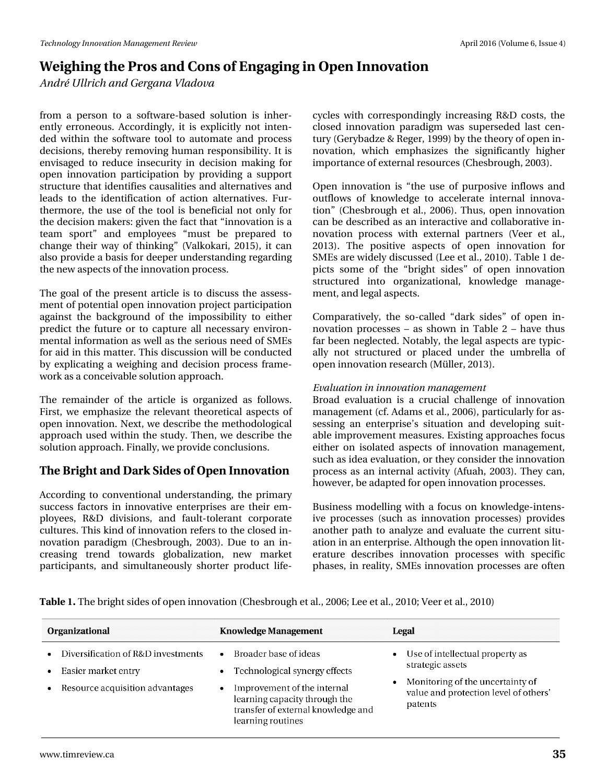*André Ullrich and Gergana Vladova*

from a person to a software-based solution is inherently erroneous. Accordingly, it is explicitly not intended within the software tool to automate and process decisions, thereby removing human responsibility. It is envisaged to reduce insecurity in decision making for open innovation participation by providing a support structure that identifies causalities and alternatives and leads to the identification of action alternatives. Furthermore, the use of the tool is beneficial not only for the decision makers: given the fact that "innovation is a team sport" and employees "must be prepared to change their way of thinking" (Valkokari, 2015), it can also provide a basis for deeper understanding regarding the new aspects of the innovation process.

The goal of the present article is to discuss the assessment of potential open innovation project participation against the background of the impossibility to either predict the future or to capture all necessary environmental information as well as the serious need of SMEs for aid in this matter. This discussion will be conducted by explicating a weighing and decision process framework as a conceivable solution approach.

The remainder of the article is organized as follows. First, we emphasize the relevant theoretical aspects of open innovation. Next, we describe the methodological approach used within the study. Then, we describe the solution approach. Finally, we provide conclusions.

## **The Bright and Dark Sides of Open Innovation**

According to conventional understanding, the primary success factors in innovative enterprises are their employees, R&D divisions, and fault-tolerant corporate cultures. This kind of innovation refers to the closed innovation paradigm (Chesbrough, 2003). Due to an increasing trend towards globalization, new market participants, and simultaneously shorter product lifecycles with correspondingly increasing R&D costs, the closed innovation paradigm was superseded last century (Gerybadze & Reger, 1999) by the theory of open innovation, which emphasizes the significantly higher importance of external resources (Chesbrough, 2003).

Open innovation is "the use of purposive inflows and outflows of knowledge to accelerate internal innovation" (Chesbrough et al., 2006). Thus, open innovation can be described as an interactive and collaborative innovation process with external partners (Veer et al., 2013). The positive aspects of open innovation for SMEs are widely discussed (Lee et al., 2010). Table 1 depicts some of the "bright sides" of open innovation structured into organizational, knowledge management, and legal aspects.

Comparatively, the so-called "dark sides" of open innovation processes – as shown in Table 2 – have thus far been neglected. Notably, the legal aspects are typically not structured or placed under the umbrella of open innovation research (Müller, 2013).

#### *Evaluation in innovation management*

Broad evaluation is a crucial challenge of innovation management (cf. Adams et al., 2006), particularly for assessing an enterprise's situation and developing suitable improvement measures. Existing approaches focus either on isolated aspects of innovation management, such as idea evaluation, or they consider the innovation process as an internal activity (Afuah, 2003). They can, however, be adapted for open innovation processes.

Business modelling with a focus on knowledge-intensive processes (such as innovation processes) provides another path to analyze and evaluate the current situation in an enterprise. Although the open innovation literature describes innovation processes with specific phases, in reality, SMEs innovation processes are often

**Table 1.** The bright sides of open innovation (Chesbrough et al., 2006; Lee et al., 2010; Veer et al., 2010)

| <b>Organizational</b>                                                                                     | <b>Knowledge Management</b>                                                                                                                                                                    | Legal                                                                                                                                       |
|-----------------------------------------------------------------------------------------------------------|------------------------------------------------------------------------------------------------------------------------------------------------------------------------------------------------|---------------------------------------------------------------------------------------------------------------------------------------------|
| Diversification of R&D investments<br>$\bullet$<br>Easier market entry<br>Resource acquisition advantages | Broader base of ideas<br>$\bullet$<br>Technological synergy effects<br>Improvement of the internal<br>learning capacity through the<br>transfer of external knowledge and<br>learning routines | Use of intellectual property as<br>strategic assets<br>Monitoring of the uncertainty of<br>value and protection level of others'<br>patents |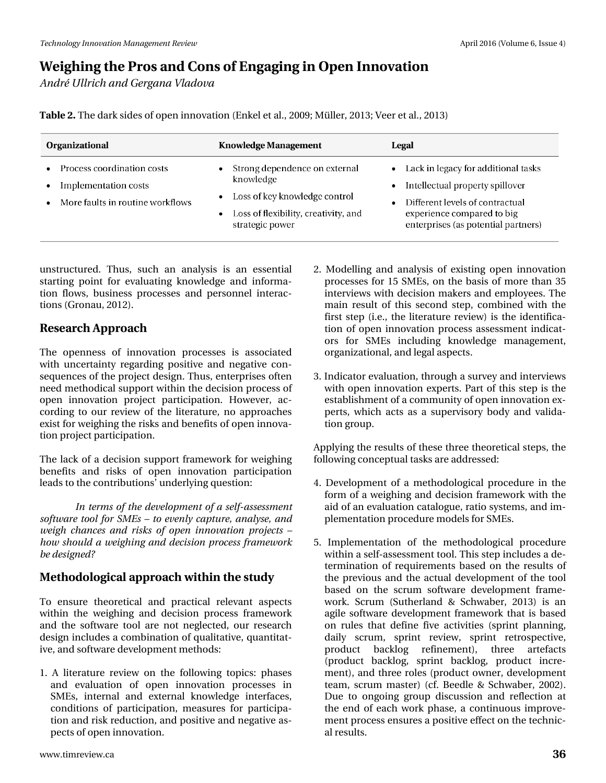*André Ullrich and Gergana Vladova*

**Table 2.** The dark sides of open innovation (Enkel et al., 2009; Müller, 2013; Veer et al., 2013)

| <b>Organizational</b>                                                                  | <b>Knowledge Management</b>                                                                                                            | Legal                                                                                                                                                                                         |
|----------------------------------------------------------------------------------------|----------------------------------------------------------------------------------------------------------------------------------------|-----------------------------------------------------------------------------------------------------------------------------------------------------------------------------------------------|
| Process coordination costs<br>Implementation costs<br>More faults in routine workflows | Strong dependence on external<br>knowledge<br>Loss of key knowledge control<br>Loss of flexibility, creativity, and<br>strategic power | • Lack in legacy for additional tasks<br>Intellectual property spillover<br>$\bullet$<br>Different levels of contractual<br>experience compared to big<br>enterprises (as potential partners) |

unstructured. Thus, such an analysis is an essential starting point for evaluating knowledge and information flows, business processes and personnel interactions (Gronau, 2012).

## **Research Approach**

The openness of innovation processes is associated with uncertainty regarding positive and negative consequences of the project design. Thus, enterprises often need methodical support within the decision process of open innovation project participation. However, according to our review of the literature, no approaches exist for weighing the risks and benefits of open innovation project participation.

The lack of a decision support framework for weighing benefits and risks of open innovation participation leads to the contributions' underlying question:

*In terms of the development of a self-assessment software tool for SMEs – to evenly capture, analyse, and weigh chances and risks of open innovation projects – how should a weighing and decision process framework be designed?*

## **Methodological approach within the study**

To ensure theoretical and practical relevant aspects within the weighing and decision process framework and the software tool are not neglected, our research design includes a combination of qualitative, quantitative, and software development methods:

1. A literature review on the following topics: phases and evaluation of open innovation processes in SMEs, internal and external knowledge interfaces, conditions of participation, measures for participation and risk reduction, and positive and negative aspects of open innovation.

- 2. Modelling and analysis of existing open innovation processes for 15 SMEs, on the basis of more than 35 interviews with decision makers and employees. The main result of this second step, combined with the first step (i.e., the literature review) is the identification of open innovation process assessment indicators for SMEs including knowledge management, organizational, and legal aspects.
- 3. Indicator evaluation, through a survey and interviews with open innovation experts. Part of this step is the establishment of a community of open innovation experts, which acts as a supervisory body and validation group.

Applying the results of these three theoretical steps, the following conceptual tasks are addressed:

- 4. Development of a methodological procedure in the form of a weighing and decision framework with the aid of an evaluation catalogue, ratio systems, and implementation procedure models for SMEs.
- 5. Implementation of the methodological procedure within a self-assessment tool. This step includes a determination of requirements based on the results of the previous and the actual development of the tool based on the scrum software development framework. Scrum (Sutherland & Schwaber, 2013) is an agile software development framework that is based on rules that define five activities (sprint planning, daily scrum, sprint review, sprint retrospective, product backlog refinement), three artefacts (product backlog, sprint backlog, product increment), and three roles (product owner, development team, scrum master) (cf. Beedle & Schwaber, 2002). Due to ongoing group discussion and reflection at the end of each work phase, a continuous improvement process ensures a positive effect on the technical results.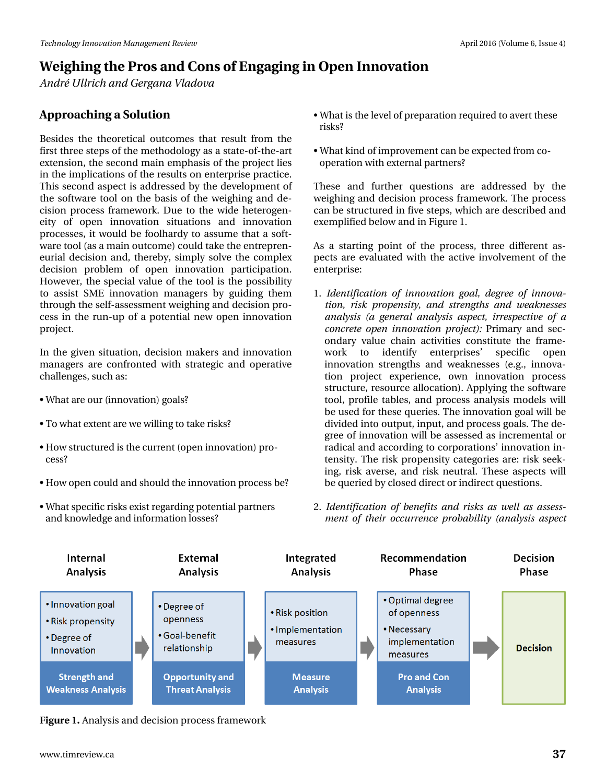*André Ullrich and Gergana Vladova*

## **Approaching a Solution**

Besides the theoretical outcomes that result from the first three steps of the methodology as a state-of-the-art extension, the second main emphasis of the project lies in the implications of the results on enterprise practice. This second aspect is addressed by the development of the software tool on the basis of the weighing and decision process framework. Due to the wide heterogeneity of open innovation situations and innovation processes, it would be foolhardy to assume that a software tool (as a main outcome) could take the entrepreneurial decision and, thereby, simply solve the complex decision problem of open innovation participation. However, the special value of the tool is the possibility to assist SME innovation managers by guiding them through the self-assessment weighing and decision process in the run-up of a potential new open innovation project.

In the given situation, decision makers and innovation managers are confronted with strategic and operative challenges, such as:

- What are our (innovation) goals?
- To what extent are we willing to take risks?
- How structured is the current (open innovation) process?
- How open could and should the innovation process be?
- What specific risks exist regarding potential partners and knowledge and information losses?
- What is the level of preparation required to avert these risks?
- What kind of improvement can be expected from cooperation with external partners?

These and further questions are addressed by the weighing and decision process framework. The process can be structured in five steps, which are described and exemplified below and in Figure 1.

As a starting point of the process, three different aspects are evaluated with the active involvement of the enterprise:

- 1. *Identification of innovation goal, degree of innovation, risk propensity, and strengths and weaknesses analysis (a general analysis aspect, irrespective of a concrete open innovation project):* Primary and secondary value chain activities constitute the framework to identify enterprises' specific open innovation strengths and weaknesses (e.g., innovation project experience, own innovation process structure, resource allocation). Applying the software tool, profile tables, and process analysis models will be used for these queries. The innovation goal will be divided into output, input, and process goals. The degree of innovation will be assessed as incremental or radical and according to corporations' innovation intensity. The risk propensity categories are: risk seeking, risk averse, and risk neutral. These aspects will be queried by closed direct or indirect questions.
- 2. *Identification of benefits and risks as well as assessment of their occurrence probability (analysis aspect*



**Figure 1.** Analysis and decision process framework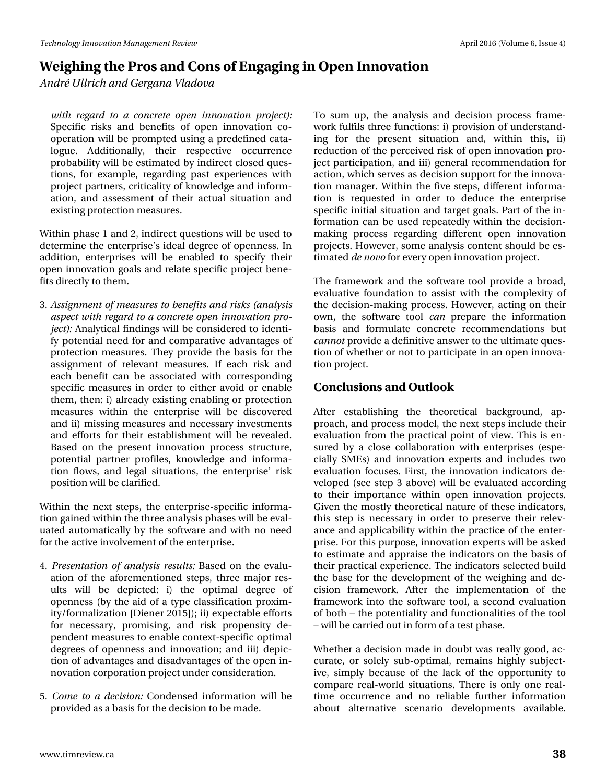*André Ullrich and Gergana Vladova*

*with regard to a concrete open innovation project):* Specific risks and benefits of open innovation cooperation will be prompted using a predefined catalogue. Additionally, their respective occurrence probability will be estimated by indirect closed questions, for example, regarding past experiences with project partners, criticality of knowledge and information, and assessment of their actual situation and existing protection measures.

Within phase 1 and 2, indirect questions will be used to determine the enterprise's ideal degree of openness. In addition, enterprises will be enabled to specify their open innovation goals and relate specific project benefits directly to them.

3. *Assignment of measures to benefits and risks (analysis aspect with regard to a concrete open innovation project*): Analytical findings will be considered to identify potential need for and comparative advantages of protection measures. They provide the basis for the assignment of relevant measures. If each risk and each benefit can be associated with corresponding specific measures in order to either avoid or enable them, then: i) already existing enabling or protection measures within the enterprise will be discovered and ii) missing measures and necessary investments and efforts for their establishment will be revealed. Based on the present innovation process structure, potential partner profiles, knowledge and information flows, and legal situations, the enterprise' risk position will be clarified.

Within the next steps, the enterprise-specific information gained within the three analysis phases will be evaluated automatically by the software and with no need for the active involvement of the enterprise.

- 4. *Presentation of analysis results:* Based on the evaluation of the aforementioned steps, three major results will be depicted: i) the optimal degree of openness (by the aid of a type classification proximity/formalization [Diener 2015]); ii) expectable efforts for necessary, promising, and risk propensity dependent measures to enable context-specific optimal degrees of openness and innovation; and iii) depiction of advantages and disadvantages of the open innovation corporation project under consideration.
- 5. *Come to a decision:* Condensed information will be provided as a basis for the decision to be made.

To sum up, the analysis and decision process framework fulfils three functions: i) provision of understanding for the present situation and, within this, ii) reduction of the perceived risk of open innovation project participation, and iii) general recommendation for action, which serves as decision support for the innovation manager. Within the five steps, different information is requested in order to deduce the enterprise specific initial situation and target goals. Part of the information can be used repeatedly within the decisionmaking process regarding different open innovation projects. However, some analysis content should be estimated *de novo* for every open innovation project.

The framework and the software tool provide a broad, evaluative foundation to assist with the complexity of the decision-making process. However, acting on their own, the software tool *can* prepare the information basis and formulate concrete recommendations but *cannot* provide a definitive answer to the ultimate question of whether or not to participate in an open innovation project.

## **Conclusions and Outlook**

After establishing the theoretical background, approach, and process model, the next steps include their evaluation from the practical point of view. This is ensured by a close collaboration with enterprises (especially SMEs) and innovation experts and includes two evaluation focuses. First, the innovation indicators developed (see step 3 above) will be evaluated according to their importance within open innovation projects. Given the mostly theoretical nature of these indicators, this step is necessary in order to preserve their relevance and applicability within the practice of the enterprise. For this purpose, innovation experts will be asked to estimate and appraise the indicators on the basis of their practical experience. The indicators selected build the base for the development of the weighing and decision framework. After the implementation of the framework into the software tool, a second evaluation of both – the potentiality and functionalities of the tool – will be carried out in form of a test phase.

Whether a decision made in doubt was really good, accurate, or solely sub-optimal, remains highly subjective, simply because of the lack of the opportunity to compare real-world situations. There is only one realtime occurrence and no reliable further information about alternative scenario developments available.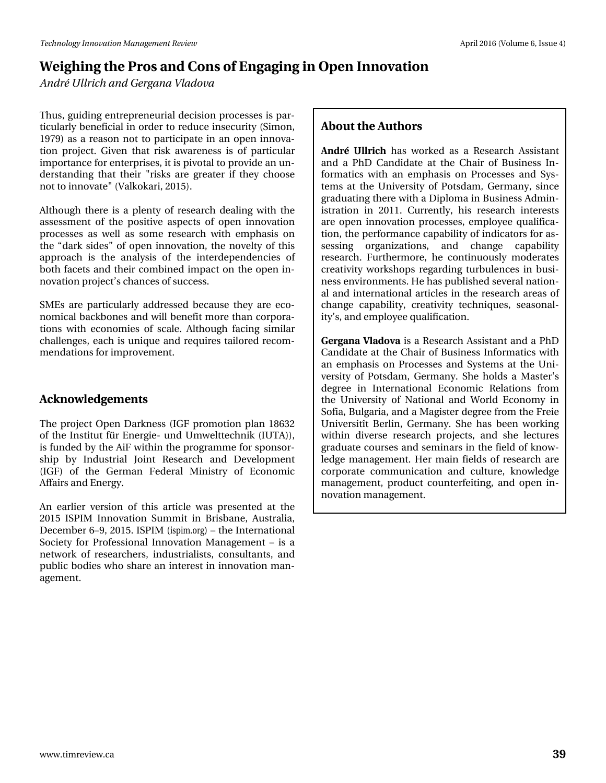# Z hljklqj#wkh#Surv#dqg#Frqv#i#Hqjdjlqj#q#Rshq#Lqqrydwlrq Dggu *F* Kaulfk#dgg# hujdgd#Yadgryd

Wkxv/#xlglqj#hqwhsuhqhxuldo#ghflvlrq#surfhwhv#v#sdu0 whistory and the hydrogen state of the hydrogen state of the hydrogen state of the state of the state of the state of the state of the state of the state of the state of the state of the state of the state of the state of 4<: <, #dv#d#uhdvrq#qrw#wr#sduwflsdwh#lq#dq#rshq#lqqryd0 who g #s un this with I yhg #wk dw#ulvn#dz duhg hw#I v#r i #s duw f x odu# lp sruwdqfh#ru#hqwhusulvhv/#w#v#slyrwdo#wr#surylgh#dq#xq0 ghuwdgglgi#wkdw#wkhlu#%Jvnv#duh#juhdwhu#li#wkhl#fkrrwh# qr www #qqr ydwh%#Ydonr ndul/#5348,1

Dowk r x j k # wk huh # v # d#s dnqw| # i # uhvhduf k # ghddqj # z lwk # wk h # dvvhvvp hqv#ri#vkh#srvlvlyh#dvshfw#ri#rshq#lqqrydvlrq# sur f hwhv#dv#z hoo#dv#vr p h#uhvhduf k#z lwk#hp skdvlv#r q# wkh#gdun#vlghvT\tin i#rshq#lqqrydwlrq/#wkh#qryhowy#ri#wklv# dssurdfk#lv#vkh#dqddvlv#ri#vkh#lqvhughshqghqflhv#ri# erwk#dfhw#dqg#wkhlu#frpelqhg#psdfw#rq#wkh#rshq#lq0 grydw'r g#surmhfw\*v#lkdgfhv#i#vxffhvv1

VP Hv#duh#s duwf x oduoj #dgguhvvhg#ehf dx vh#wk h| #duh#hf r 0 grp Ifddedfnerghy#dgg#zloo#ehqhilw#pruh#wk.dq#frusrud0 who qv#z lwk#hfrqrp lhv#ri#vfdoh1#Dowkrxjk#idflqj#vlplodu# fkdochqjhv/#hdfk#v#xqltxh#dqg#uhtxluhv#wdloruhg#uhfrp0 p hqgdwr qv#r u#p sur yhp hqwl

## Df ngr z dagi hp hqw

Wikh#surnhfw#Rshq#Gdunqhvv#HLJI#surprwlrq#sodq#4;965# ri#wkh#Lqwwwxw#öu#Hqhujlh0#xqg#Xpzhowwhfkqln#+LXWD,,/# lv#xqghg#e|#wkh#Dll#zlwklq#wkh#surjudpph#tru#vsrqvru0 vkls#e|#Lqgxvwuldd#Mllqw#Uhvhdufk#dqg#Ghyhorsphqw# # JI,#ri#wkh#Jhupdq#Ihghudo#Plqlvwu|#ri#Hfrqrplf, ال Diidlw#dqg#Hqhuj | 1

Dq#hdudhu#yhuvirq#ri#wklv#duwfdn#zdv#suhvhqwhg#dw#wkh# 5348#LVSLP #Lggrydwrg#Vxpplw#g#Eulvedgh/#Dxwwddd/# Ghf hp ehut9' </#53481#LVSLP # wslp t uj,# # wk h # Lq whuqdwlr qdd # Vr flhw t # r ut Sur i h wlr gdot 4.g grydw'r g # P dg di h p h gw # # v # d # qhvz r un#r i#uhvhduf k huv/#lqgx vwuldolvw/#f r qvx ovdqw/#dqg# sxedf#erglhv#zkr#vkduh#dq#lqwhuhvw#lq#lqqrydwlrq#pdq0 di hp hqwl

### Der xwww.h#Dxwkruv

Dggu/#EX coulf k #k dv#z r unhg#dv#d#Uhvhduf k #Dvvl vvdgv# dqg#d#SkG#Fdqglgdwh#dw#wkh#Fkdlu#ri#Exvlqhvv#Lq0 ir up dwf v#z lwk#dq#hp skdvlv#r q#Surfhvvhv#dqg#V|v0 whp v#dw#wkh#Xqlyhuvlw|#ri#Srwgdp/#Jhupdq|/#vlqfh# judgxdwlgj#wkhuh#zlwk#d#Glsorpd#q#Exvlqhw#Dgplq0 Ivwdwr q#Iq#5344#Fxuhqvo /#klv#uhvhduf k#Iqwhuhvw# duh# shq#qqrydwlrq#surfhwhv/#hpsor|hh#txdolilfd0 whrq/#wkh#shuirupdqfh#fdsdeldw|#i#qglfdwruw#ru#dv0 vhwlgi# rujdgl}dwrgv/# dgg# fkdgjh# fdsdeldw|# uhvhdufk #1 x uwk hup r uh/#k h#f r gwlgxr x vol #p r ghudwhv# fuhdwlylw|#zrunvkrsv#uhjduglqj#wxuexohqfhv#lq#exvl0 qhw#nqylurqp hqwr#Kh#kdv#sxedvkhg#yhudd#qdwlrq0 doldqg#qvhuqdvlrqdolduvlfohv#q#vkh#uhvhdufk#duhdv#ri# f kdqj h#f dsdeldw|/#f uhdwlylw|#whf kqlt xhv/#vhdvr qdo0 lw/\*v/#dqg#npsor|hh#xdolilfdwlrq1

J huj dqd#Yodgr yd#v#d#Jhvhduf k#Dvvlvvdqv#dqg#d#SkG# Fdqglgdwh#dw#wkh#Fkdlu#i#Exvlqhvv#Lqirupdwfv#zlwk# dq#hp skdvlv#rq#Surfhvvhv#dqg#V| whp v#dw#wkh#Xql0 yhuvly #ri#Srwgdp/#Jhupdq|#A/kh#krogy#d#PdwhuŠr# ghiuhh#lq#Lqwhuqdwlrqdo#Hfrqrplf#Uhodwlrqv#iurp# wkh#Xqlyhuvlw|#ri#Qdwlrqdo#dqg#Zruog#Hfrqrp|#lq# Vrild/#Exojduld/#dqg#d#Pdjlvvhu#ghjuhh#urp#wkh#uhlh# Xqlyhuvlvtow #Ehudq/#J hup dq| #Vkh#kdv#ehhq#z runlqj# z lwklg#glyhwh#uhvhduf k#sur rhf w/#dgg#vkh#dnf wxuhv# judgxdwh#rxuvhv#dqg#vhplqduv#q#wkh#lhog#ri#nqrz0 dhgi h#p dqdi hp hqw#Khu#p dlq#lhoqv#ri#uhvhdufk#duh# frusrudwh#frppxqlfdwlrq#dqg#fxowxuh/#nqrzohgjh# p dqdj hp hqw#surgxfw#rxqwhuihlwlqj/#dqg#rshq#lq0 qr ydw'r q#p dqdj hp hqwl